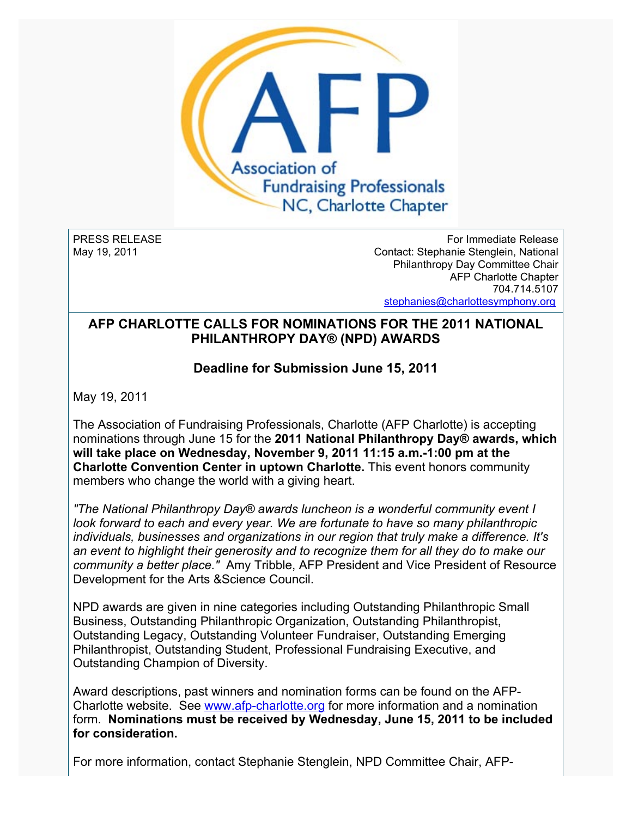

PRESS RELEASE May 19, 2011

For Immediate Release Contact: Stephanie Stenglein, National Philanthropy Day Committee Chair AFP Charlotte Chapter 704.714.5107 [stephanies@charlottesymphony.org](mailto:stephanies@charlottesymphony.org)

## **AFP CHARLOTTE CALLS FOR NOMINATIONS FOR THE 2011 NATIONAL PHILANTHROPY DAY® (NPD) AWARDS**

## **Deadline for Submission June 15, 2011**

May 19, 2011

The Association of Fundraising Professionals, Charlotte (AFP Charlotte) is accepting nominations through June 15 for the **2011 National Philanthropy Day® awards, which will take place on Wednesday, November 9, 2011 11:15 a.m.-1:00 pm at the Charlotte Convention Center in uptown Charlotte.** This event honors community members who change the world with a giving heart.

*"The National Philanthropy Day® awards luncheon is a wonderful community event I look forward to each and every year. We are fortunate to have so many philanthropic individuals, businesses and organizations in our region that truly make a difference. It's an event to highlight their generosity and to recognize them for all they do to make our community a better place."* Amy Tribble, AFP President and Vice President of Resource Development for the Arts &Science Council.

NPD awards are given in nine categories including Outstanding Philanthropic Small Business, Outstanding Philanthropic Organization, Outstanding Philanthropist, Outstanding Legacy, Outstanding Volunteer Fundraiser, Outstanding Emerging Philanthropist, Outstanding Student, Professional Fundraising Executive, and Outstanding Champion of Diversity.

Award descriptions, past winners and nomination forms can be found on the AFP-Charlotte website. See [www.afp-charlotte.org](http://www.afp-charlotte.org/) for more information and a nomination form. **Nominations must be received by Wednesday, June 15, 2011 to be included for consideration.**

For more information, contact Stephanie Stenglein, NPD Committee Chair, AFP-